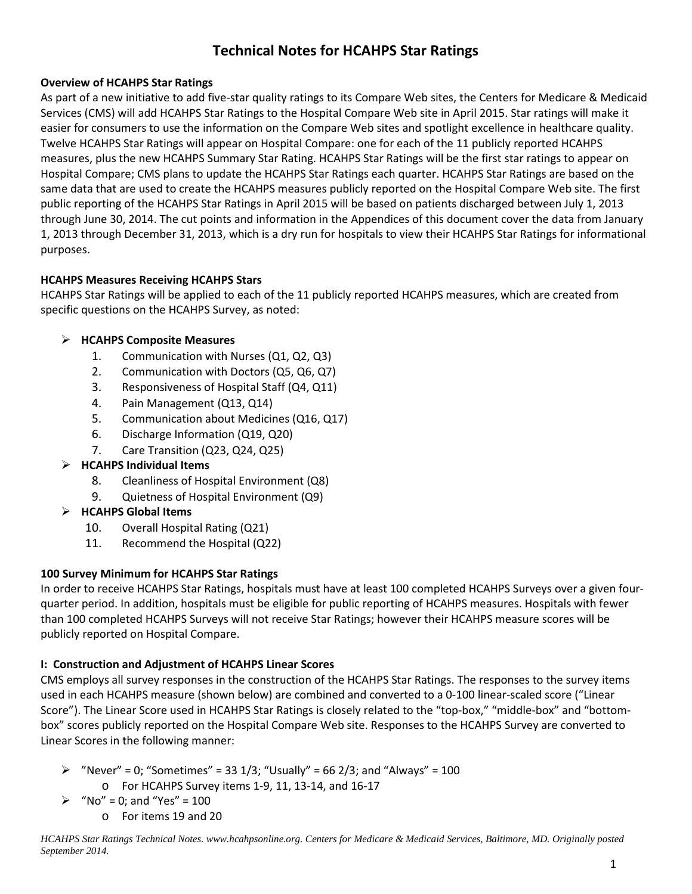# **Technical Notes for HCAHPS Star Ratings**

#### **Overview of HCAHPS Star Ratings**

As part of a new initiative to add five-star quality ratings to its Compare Web sites, the Centers for Medicare & Medicaid Services (CMS) will add HCAHPS Star Ratings to the Hospital Compare Web site in April 2015. Star ratings will make it easier for consumers to use the information on the Compare Web sites and spotlight excellence in healthcare quality. Twelve HCAHPS Star Ratings will appear on Hospital Compare: one for each of the 11 publicly reported HCAHPS measures, plus the new HCAHPS Summary Star Rating. HCAHPS Star Ratings will be the first star ratings to appear on Hospital Compare; CMS plans to update the HCAHPS Star Ratings each quarter. HCAHPS Star Ratings are based on the same data that are used to create the HCAHPS measures publicly reported on the Hospital Compare Web site. The first public reporting of the HCAHPS Star Ratings in April 2015 will be based on patients discharged between July 1, 2013 through June 30, 2014. The cut points and information in the Appendices of this document cover the data from January 1, 2013 through December 31, 2013, which is a dry run for hospitals to view their HCAHPS Star Ratings for informational purposes.

## **HCAHPS Measures Receiving HCAHPS Stars**

HCAHPS Star Ratings will be applied to each of the 11 publicly reported HCAHPS measures, which are created from specific questions on the HCAHPS Survey, as noted:

# **HCAHPS Composite Measures**

- 1. Communication with Nurses (Q1, Q2, Q3)
- 2. Communication with Doctors (Q5, Q6, Q7)
- 3. Responsiveness of Hospital Staff (Q4, Q11)
- 4. Pain Management (Q13, Q14)
- 5. Communication about Medicines (Q16, Q17)
- 6. Discharge Information (Q19, Q20)
- 7. Care Transition (Q23, Q24, Q25)

# **HCAHPS Individual Items**

- 8. Cleanliness of Hospital Environment (Q8)
- 9. Quietness of Hospital Environment (Q9)
- **HCAHPS Global Items** 
	- 10. Overall Hospital Rating (Q21)
	- 11. Recommend the Hospital (Q22)

# **100 Survey Minimum for HCAHPS Star Ratings**

In order to receive HCAHPS Star Ratings, hospitals must have at least 100 completed HCAHPS Surveys over a given fourquarter period. In addition, hospitals must be eligible for public reporting of HCAHPS measures. Hospitals with fewer than 100 completed HCAHPS Surveys will not receive Star Ratings; however their HCAHPS measure scores will be publicly reported on Hospital Compare.

# **I: Construction and Adjustment of HCAHPS Linear Scores**

CMS employs all survey responses in the construction of the HCAHPS Star Ratings. The responses to the survey items used in each HCAHPS measure (shown below) are combined and converted to a 0-100 linear-scaled score ("Linear Score"). The Linear Score used in HCAHPS Star Ratings is closely related to the "top-box," "middle-box" and "bottombox" scores publicly reported on the Hospital Compare Web site. Responses to the HCAHPS Survey are converted to Linear Scores in the following manner:

- $\triangleright$  "Never" = 0; "Sometimes" = 33 1/3; "Usually" = 66 2/3; and "Always" = 100 o For HCAHPS Survey items 1-9, 11, 13-14, and 16-17
- $\triangleright$  "No" = 0; and "Yes" = 100
	- o For items 19 and 20

*HCAHPS Star Ratings Technical Notes. www.hcahpsonline.org. Centers for Medicare & Medicaid Services, Baltimore, MD. Originally posted September 2014.*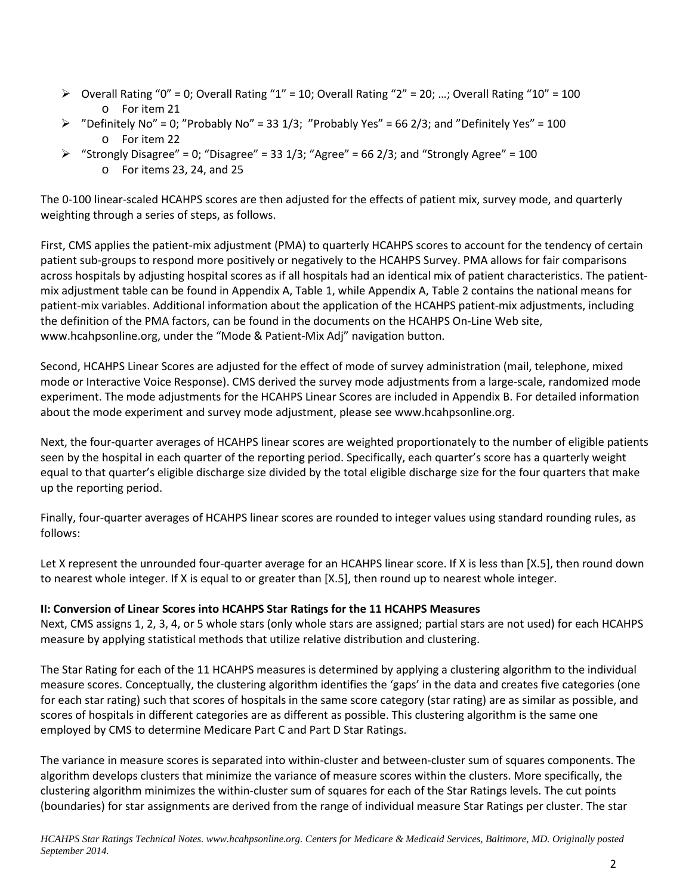- $\triangleright$  Overall Rating "0" = 0; Overall Rating "1" = 10; Overall Rating "2" = 20; ...; Overall Rating "10" = 100 o For item 21
- $\triangleright$  "Definitely No" = 0; "Probably No" = 33 1/3; "Probably Yes" = 66 2/3; and "Definitely Yes" = 100 o For item 22
- $\triangleright$  "Strongly Disagree" = 0; "Disagree" = 33 1/3; "Agree" = 66 2/3; and "Strongly Agree" = 100 o For items 23, 24, and 25

The 0-100 linear-scaled HCAHPS scores are then adjusted for the effects of patient mix, survey mode, and quarterly weighting through a series of steps, as follows.

First, CMS applies the patient-mix adjustment (PMA) to quarterly HCAHPS scores to account for the tendency of certain patient sub-groups to respond more positively or negatively to the HCAHPS Survey. PMA allows for fair comparisons across hospitals by adjusting hospital scores as if all hospitals had an identical mix of patient characteristics. The patientmix adjustment table can be found in Appendix A, Table 1, while Appendix A, Table 2 contains the national means for patient-mix variables. Additional information about the application of the HCAHPS patient-mix adjustments, including the definition of the PMA factors, can be found in the documents on the HCAHPS On-Line Web site, [www.hcahpsonline.org,](http://www.hcahpsonline.org/) under the "Mode & Patient-Mix Adj" navigation button.

Second, HCAHPS Linear Scores are adjusted for the effect of mode of survey administration (mail, telephone, mixed mode or Interactive Voice Response). CMS derived the survey mode adjustments from a large-scale, randomized mode experiment. The mode adjustments for the HCAHPS Linear Scores are included in Appendix B. For detailed information about the mode experiment and survey mode adjustment, please see [www.hcahpsonline.org.](http://www.hcahpsonline.org/)

Next, the four-quarter averages of HCAHPS linear scores are weighted proportionately to the number of eligible patients seen by the hospital in each quarter of the reporting period. Specifically, each quarter's score has a quarterly weight equal to that quarter's eligible discharge size divided by the total eligible discharge size for the four quarters that make up the reporting period.

Finally, four-quarter averages of HCAHPS linear scores are rounded to integer values using standard rounding rules, as follows:

Let X represent the unrounded four-quarter average for an HCAHPS linear score. If X is less than [X.5], then round down to nearest whole integer. If X is equal to or greater than [X.5], then round up to nearest whole integer.

#### **II: Conversion of Linear Scores into HCAHPS Star Ratings for the 11 HCAHPS Measures**

Next, CMS assigns 1, 2, 3, 4, or 5 whole stars (only whole stars are assigned; partial stars are not used) for each HCAHPS measure by applying statistical methods that utilize relative distribution and clustering.

The Star Rating for each of the 11 HCAHPS measures is determined by applying a clustering algorithm to the individual measure scores. Conceptually, the clustering algorithm identifies the 'gaps' in the data and creates five categories (one for each star rating) such that scores of hospitals in the same score category (star rating) are as similar as possible, and scores of hospitals in different categories are as different as possible. This clustering algorithm is the same one employed by CMS to determine Medicare Part C and Part D Star Ratings.

The variance in measure scores is separated into within-cluster and between-cluster sum of squares components. The algorithm develops clusters that minimize the variance of measure scores within the clusters. More specifically, the clustering algorithm minimizes the within-cluster sum of squares for each of the Star Ratings levels. The cut points (boundaries) for star assignments are derived from the range of individual measure Star Ratings per cluster. The star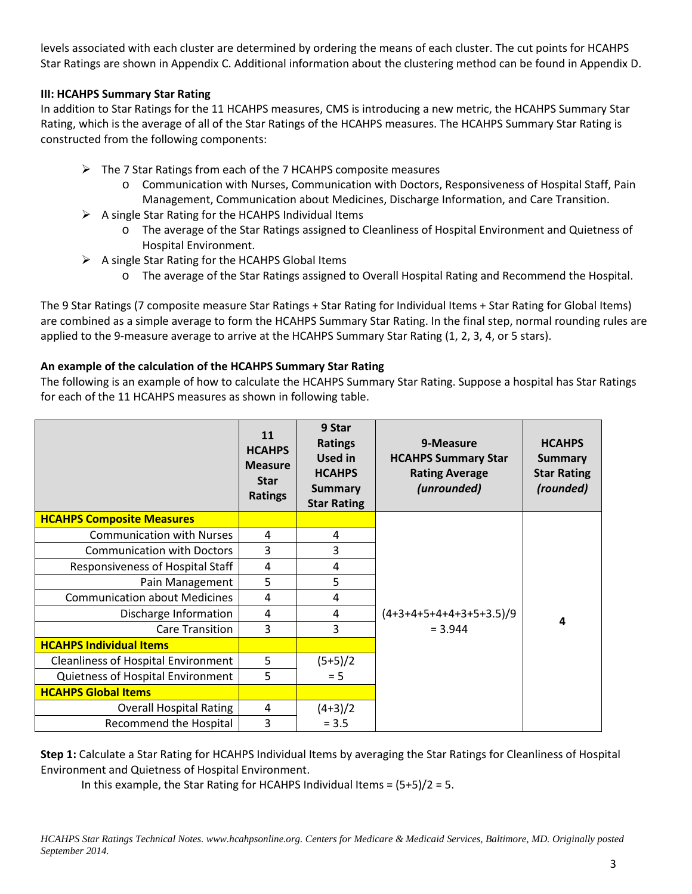levels associated with each cluster are determined by ordering the means of each cluster. The cut points for HCAHPS Star Ratings are shown in Appendix C. Additional information about the clustering method can be found in Appendix D.

#### **III: HCAHPS Summary Star Rating**

In addition to Star Ratings for the 11 HCAHPS measures, CMS is introducing a new metric, the HCAHPS Summary Star Rating, which is the average of all of the Star Ratings of the HCAHPS measures. The HCAHPS Summary Star Rating is constructed from the following components:

- $\triangleright$  The 7 Star Ratings from each of the 7 HCAHPS composite measures
	- o Communication with Nurses, Communication with Doctors, Responsiveness of Hospital Staff, Pain Management, Communication about Medicines, Discharge Information, and Care Transition.
- $\triangleright$  A single Star Rating for the HCAHPS Individual Items
	- o The average of the Star Ratings assigned to Cleanliness of Hospital Environment and Quietness of Hospital Environment.
- $\triangleright$  A single Star Rating for the HCAHPS Global Items
	- o The average of the Star Ratings assigned to Overall Hospital Rating and Recommend the Hospital.

The 9 Star Ratings (7 composite measure Star Ratings + Star Rating for Individual Items + Star Rating for Global Items) are combined as a simple average to form the HCAHPS Summary Star Rating. In the final step, normal rounding rules are applied to the 9-measure average to arrive at the HCAHPS Summary Star Rating (1, 2, 3, 4, or 5 stars).

## **An example of the calculation of the HCAHPS Summary Star Rating**

The following is an example of how to calculate the HCAHPS Summary Star Rating. Suppose a hospital has Star Ratings for each of the 11 HCAHPS measures as shown in following table.

|                                            | 11<br><b>HCAHPS</b><br><b>Measure</b><br><b>Star</b><br><b>Ratings</b> | 9 Star<br><b>Ratings</b><br><b>Used in</b><br><b>HCAHPS</b><br><b>Summary</b><br><b>Star Rating</b> | 9-Measure<br><b>HCAHPS Summary Star</b><br><b>Rating Average</b><br>(unrounded) | <b>HCAHPS</b><br><b>Summary</b><br><b>Star Rating</b><br>(rounded) |
|--------------------------------------------|------------------------------------------------------------------------|-----------------------------------------------------------------------------------------------------|---------------------------------------------------------------------------------|--------------------------------------------------------------------|
| <b>HCAHPS Composite Measures</b>           |                                                                        |                                                                                                     |                                                                                 |                                                                    |
| <b>Communication with Nurses</b>           | 4                                                                      | 4                                                                                                   |                                                                                 |                                                                    |
| <b>Communication with Doctors</b>          | 3                                                                      | 3                                                                                                   |                                                                                 |                                                                    |
| Responsiveness of Hospital Staff           | 4                                                                      | 4                                                                                                   |                                                                                 |                                                                    |
| Pain Management                            | 5                                                                      | 5                                                                                                   |                                                                                 |                                                                    |
| <b>Communication about Medicines</b>       | 4                                                                      | 4                                                                                                   |                                                                                 |                                                                    |
| Discharge Information                      | 4                                                                      | 4                                                                                                   | $(4+3+4+5+4+4+3+5+3.5)/9$                                                       | 4                                                                  |
| <b>Care Transition</b>                     | 3                                                                      | 3                                                                                                   | $= 3.944$                                                                       |                                                                    |
| <b>HCAHPS Individual Items</b>             |                                                                        |                                                                                                     |                                                                                 |                                                                    |
| <b>Cleanliness of Hospital Environment</b> | 5                                                                      | $(5+5)/2$                                                                                           |                                                                                 |                                                                    |
| Quietness of Hospital Environment          | 5                                                                      | $= 5$                                                                                               |                                                                                 |                                                                    |
| <b>HCAHPS Global Items</b>                 |                                                                        |                                                                                                     |                                                                                 |                                                                    |
| <b>Overall Hospital Rating</b>             | 4                                                                      | $(4+3)/2$                                                                                           |                                                                                 |                                                                    |
| Recommend the Hospital                     | 3                                                                      | $= 3.5$                                                                                             |                                                                                 |                                                                    |

**Step 1:** Calculate a Star Rating for HCAHPS Individual Items by averaging the Star Ratings for Cleanliness of Hospital Environment and Quietness of Hospital Environment.

In this example, the Star Rating for HCAHPS Individual Items = (5+5)/2 = 5.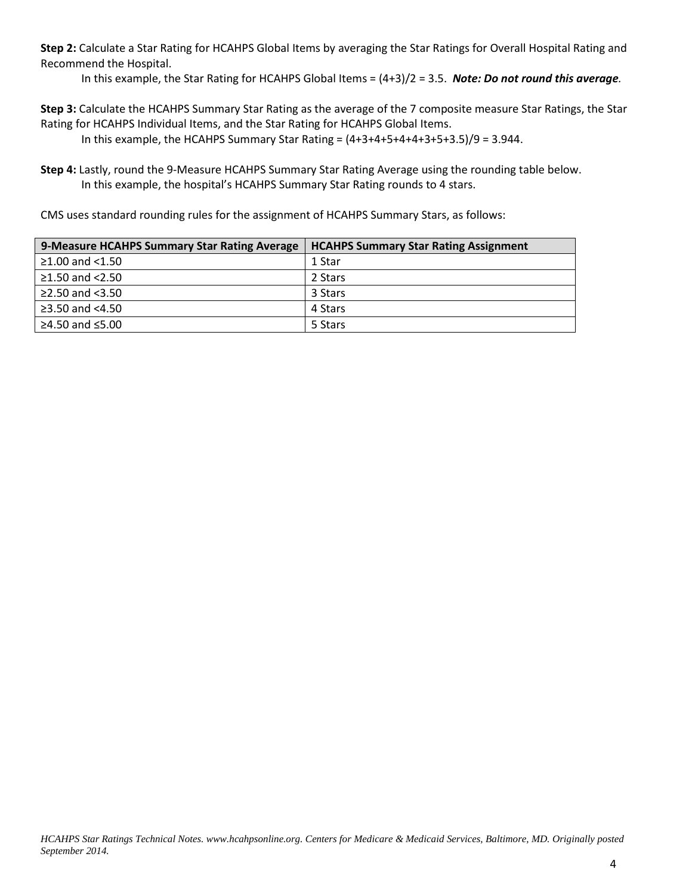**Step 2:** Calculate a Star Rating for HCAHPS Global Items by averaging the Star Ratings for Overall Hospital Rating and Recommend the Hospital.

In this example, the Star Rating for HCAHPS Global Items = (4+3)/2 = 3.5. *Note: Do not round this average.*

**Step 3:** Calculate the HCAHPS Summary Star Rating as the average of the 7 composite measure Star Ratings, the Star Rating for HCAHPS Individual Items, and the Star Rating for HCAHPS Global Items.

In this example, the HCAHPS Summary Star Rating =  $(4+3+4+5+4+4+3+5+3.5)/9 = 3.944$ .

**Step 4:** Lastly, round the 9-Measure HCAHPS Summary Star Rating Average using the rounding table below. In this example, the hospital's HCAHPS Summary Star Rating rounds to 4 stars.

CMS uses standard rounding rules for the assignment of HCAHPS Summary Stars, as follows:

| 9-Measure HCAHPS Summary Star Rating Average | <b>HCAHPS Summary Star Rating Assignment</b> |
|----------------------------------------------|----------------------------------------------|
| $≥1.00$ and <1.50                            | 1 Star                                       |
| ≥1.50 and $<$ 2.50                           | 2 Stars                                      |
| ≥2.50 and $<3.50$                            | 3 Stars                                      |
| ≥3.50 and $<4.50$                            | 4 Stars                                      |
| ≥4.50 and $≤5.00$                            | 5 Stars                                      |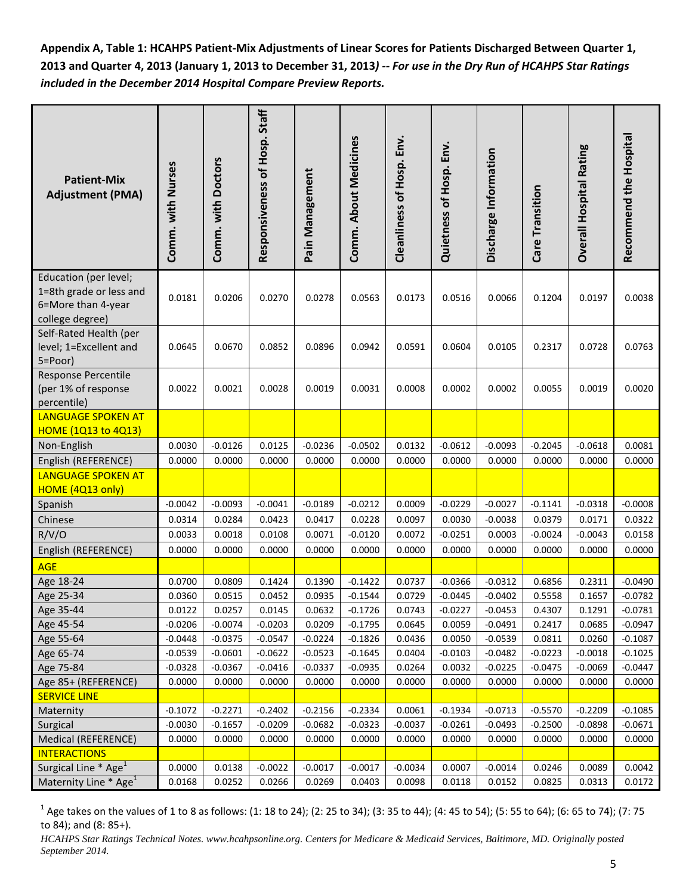**Appendix A, Table 1: HCAHPS Patient-Mix Adjustments of Linear Scores for Patients Discharged Between Quarter 1, 2013 and Quarter 4, 2013 (January 1, 2013 to December 31, 2013***) -- For use in the Dry Run of HCAHPS Star Ratings included in the December 2014 Hospital Compare Preview Reports.*

| <b>Patient-Mix</b><br><b>Adjustment (PMA)</b>                                             | Comm. with Nurses | Comm. with Doctors | Responsiveness of Hosp. Staff | Pain Management | Comm. About Medicines | Cleanliness of Hosp. Env. | Quietness of Hosp. Env. | Discharge Information | Care Transition | <b>Overall Hospital Rating</b> | Recommend the Hospital |
|-------------------------------------------------------------------------------------------|-------------------|--------------------|-------------------------------|-----------------|-----------------------|---------------------------|-------------------------|-----------------------|-----------------|--------------------------------|------------------------|
| Education (per level;<br>1=8th grade or less and<br>6=More than 4-year<br>college degree) | 0.0181            | 0.0206             | 0.0270                        | 0.0278          | 0.0563                | 0.0173                    | 0.0516                  | 0.0066                | 0.1204          | 0.0197                         | 0.0038                 |
| Self-Rated Health (per<br>level; 1=Excellent and<br>5=Poor)                               | 0.0645            | 0.0670             | 0.0852                        | 0.0896          | 0.0942                | 0.0591                    | 0.0604                  | 0.0105                | 0.2317          | 0.0728                         | 0.0763                 |
| Response Percentile<br>(per 1% of response<br>percentile)                                 | 0.0022            | 0.0021             | 0.0028                        | 0.0019          | 0.0031                | 0.0008                    | 0.0002                  | 0.0002                | 0.0055          | 0.0019                         | 0.0020                 |
| <b>LANGUAGE SPOKEN AT</b><br><b>HOME (1Q13 to 4Q13)</b>                                   |                   |                    |                               |                 |                       |                           |                         |                       |                 |                                |                        |
| Non-English                                                                               | 0.0030            | $-0.0126$          | 0.0125                        | $-0.0236$       | $-0.0502$             | 0.0132                    | $-0.0612$               | $-0.0093$             | $-0.2045$       | $-0.0618$                      | 0.0081                 |
| English (REFERENCE)                                                                       | 0.0000            | 0.0000             | 0.0000                        | 0.0000          | 0.0000                | 0.0000                    | 0.0000                  | 0.0000                | 0.0000          | 0.0000                         | 0.0000                 |
| <b>LANGUAGE SPOKEN AT</b>                                                                 |                   |                    |                               |                 |                       |                           |                         |                       |                 |                                |                        |
| HOME (4Q13 only)                                                                          |                   |                    |                               |                 |                       |                           |                         |                       |                 |                                |                        |
| Spanish                                                                                   | $-0.0042$         | $-0.0093$          | $-0.0041$                     | $-0.0189$       | $-0.0212$             | 0.0009                    | $-0.0229$               | $-0.0027$             | $-0.1141$       | $-0.0318$                      | $-0.0008$              |
| Chinese                                                                                   | 0.0314            | 0.0284             | 0.0423                        | 0.0417          | 0.0228                | 0.0097                    | 0.0030                  | $-0.0038$             | 0.0379          | 0.0171                         | 0.0322                 |
| R/V/O                                                                                     | 0.0033            | 0.0018             | 0.0108                        | 0.0071          | $-0.0120$             | 0.0072                    | $-0.0251$               | 0.0003                | $-0.0024$       | $-0.0043$                      | 0.0158                 |
| English (REFERENCE)                                                                       | 0.0000            | 0.0000             | 0.0000                        | 0.0000          | 0.0000                | 0.0000                    | 0.0000                  | 0.0000                | 0.0000          | 0.0000                         | 0.0000                 |
| <b>AGE</b>                                                                                |                   |                    |                               |                 |                       |                           |                         |                       |                 |                                |                        |
| Age 18-24                                                                                 | 0.0700            | 0.0809             | 0.1424                        | 0.1390          | $-0.1422$             | 0.0737                    | $-0.0366$               | $-0.0312$             | 0.6856          | 0.2311                         | $-0.0490$              |
| Age 25-34                                                                                 | 0.0360            | 0.0515             | 0.0452                        | 0.0935          | $-0.1544$             | 0.0729                    | $-0.0445$               | $-0.0402$             | 0.5558          | 0.1657                         | $-0.0782$              |
| Age 35-44                                                                                 | 0.0122            | 0.0257             | 0.0145                        | 0.0632          | $-0.1726$             | 0.0743                    | $-0.0227$               | $-0.0453$             | 0.4307          | 0.1291                         | $-0.0781$              |
| Age 45-54                                                                                 | $-0.0206$         | $-0.0074$          | $-0.0203$                     | 0.0209          | $-0.1795$             | 0.0645                    | 0.0059                  | $-0.0491$             | 0.2417          | 0.0685                         | $-0.0947$              |
| Age 55-64                                                                                 | $-0.0448$         | $-0.0375$          | $-0.0547$                     | $-0.0224$       | $-0.1826$             | 0.0436                    | 0.0050                  | $-0.0539$             | 0.0811          | 0.0260                         | $-0.1087$              |
| Age 65-74                                                                                 | $-0.0539$         | $-0.0601$          | $-0.0622$                     | $-0.0523$       | $-0.1645$             | 0.0404                    | $-0.0103$               | $-0.0482$             | $-0.0223$       | $-0.0018$                      | $-0.1025$              |
| Age 75-84                                                                                 | $-0.0328$         | $-0.0367$          | $-0.0416$                     | $-0.0337$       | $-0.0935$             | 0.0264                    | 0.0032                  | $-0.0225$             | $-0.0475$       | $-0.0069$                      | $-0.0447$              |
| Age 85+ (REFERENCE)                                                                       | 0.0000            | 0.0000             | 0.0000                        | 0.0000          | 0.0000                | 0.0000                    | 0.0000                  | 0.0000                | 0.0000          | 0.0000                         | 0.0000                 |
| <b>SERVICE LINE</b><br>Maternity                                                          | $-0.1072$         | $-0.2271$          | $-0.2402$                     | $-0.2156$       | $-0.2334$             | 0.0061                    | $-0.1934$               | $-0.0713$             | $-0.5570$       | $-0.2209$                      | $-0.1085$              |
| Surgical                                                                                  | $-0.0030$         | $-0.1657$          | $-0.0209$                     | $-0.0682$       | $-0.0323$             | $-0.0037$                 | $-0.0261$               | $-0.0493$             | $-0.2500$       | $-0.0898$                      | $-0.0671$              |
| Medical (REFERENCE)                                                                       | 0.0000            | 0.0000             | 0.0000                        | 0.0000          | 0.0000                | 0.0000                    | 0.0000                  | 0.0000                | 0.0000          | 0.0000                         | 0.0000                 |
| <b>INTERACTIONS</b>                                                                       |                   |                    |                               |                 |                       |                           |                         |                       |                 |                                |                        |
| Surgical Line * Age <sup>1</sup>                                                          | 0.0000            | 0.0138             | $-0.0022$                     | $-0.0017$       | $-0.0017$             | $-0.0034$                 | 0.0007                  | $-0.0014$             | 0.0246          | 0.0089                         | 0.0042                 |
| Maternity Line * Age <sup>1</sup>                                                         | 0.0168            | 0.0252             | 0.0266                        | 0.0269          | 0.0403                | 0.0098                    | 0.0118                  | 0.0152                | 0.0825          | 0.0313                         | 0.0172                 |

 $1$  Age takes on the values of 1 to 8 as follows: (1: 18 to 24); (2: 25 to 34); (3: 35 to 44); (4: 45 to 54); (5: 55 to 64); (6: 65 to 74); (7: 75 to 84); and (8: 85+).

*HCAHPS Star Ratings Technical Notes. www.hcahpsonline.org. Centers for Medicare & Medicaid Services, Baltimore, MD. Originally posted September 2014.*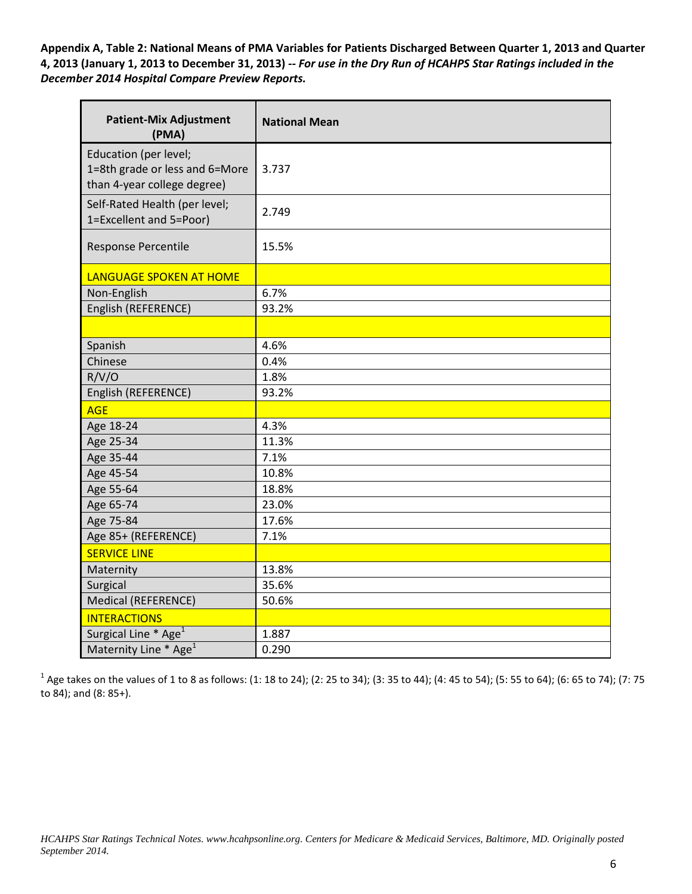**Appendix A, Table 2: National Means of PMA Variables for Patients Discharged Between Quarter 1, 2013 and Quarter 4, 2013 (January 1, 2013 to December 31, 2013)** *-- For use in the Dry Run of HCAHPS Star Ratings included in the December 2014 Hospital Compare Preview Reports.*

| <b>Patient-Mix Adjustment</b><br>(PMA)                                                 | <b>National Mean</b> |
|----------------------------------------------------------------------------------------|----------------------|
| Education (per level;<br>1=8th grade or less and 6=More<br>than 4-year college degree) | 3.737                |
| Self-Rated Health (per level;<br>1=Excellent and 5=Poor)                               | 2.749                |
| Response Percentile                                                                    | 15.5%                |
| <b>LANGUAGE SPOKEN AT HOME</b>                                                         |                      |
| Non-English                                                                            | 6.7%                 |
| English (REFERENCE)                                                                    | 93.2%                |
|                                                                                        |                      |
| Spanish                                                                                | 4.6%                 |
| Chinese                                                                                | 0.4%                 |
| R/V/O                                                                                  | 1.8%                 |
| English (REFERENCE)                                                                    | 93.2%                |
| <b>AGE</b>                                                                             |                      |
| Age 18-24                                                                              | 4.3%                 |
| Age 25-34                                                                              | 11.3%                |
| Age 35-44                                                                              | 7.1%                 |
| Age 45-54                                                                              | 10.8%                |
| Age 55-64                                                                              | 18.8%                |
| Age 65-74                                                                              | 23.0%                |
| Age 75-84                                                                              | 17.6%                |
| Age 85+ (REFERENCE)                                                                    | 7.1%                 |
| <b>SERVICE LINE</b>                                                                    |                      |
| Maternity                                                                              | 13.8%                |
| Surgical                                                                               | 35.6%                |
| Medical (REFERENCE)                                                                    | 50.6%                |
| <b>INTERACTIONS</b>                                                                    |                      |
| Surgical Line * Age <sup>1</sup>                                                       | 1.887                |
| Maternity Line * Age <sup>1</sup>                                                      | 0.290                |

 $1$  Age takes on the values of 1 to 8 as follows: (1: 18 to 24); (2: 25 to 34); (3: 35 to 44); (4: 45 to 54); (5: 55 to 64); (6: 65 to 74); (7: 75 to 84); and (8: 85+).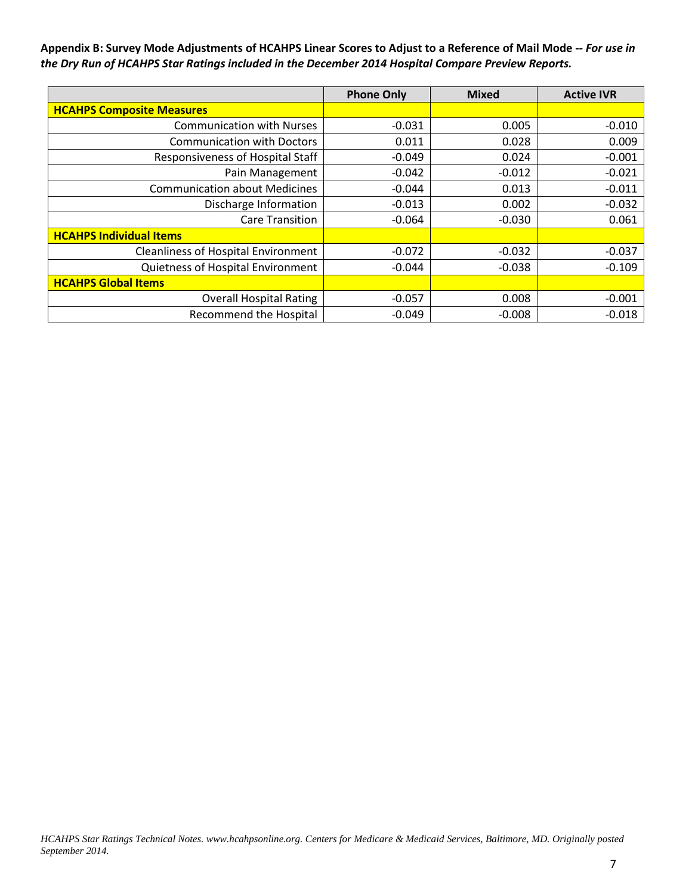**Appendix B: Survey Mode Adjustments of HCAHPS Linear Scores to Adjust to a Reference of Mail Mode** *-- For use in the Dry Run of HCAHPS Star Ratings included in the December 2014 Hospital Compare Preview Reports.*

|                                            | <b>Phone Only</b> | <b>Mixed</b> | <b>Active IVR</b> |
|--------------------------------------------|-------------------|--------------|-------------------|
| <b>HCAHPS Composite Measures</b>           |                   |              |                   |
| <b>Communication with Nurses</b>           | $-0.031$          | 0.005        | $-0.010$          |
| <b>Communication with Doctors</b>          | 0.011             | 0.028        | 0.009             |
| Responsiveness of Hospital Staff           | $-0.049$          | 0.024        | $-0.001$          |
| Pain Management                            | $-0.042$          | $-0.012$     | $-0.021$          |
| <b>Communication about Medicines</b>       | $-0.044$          | 0.013        | $-0.011$          |
| Discharge Information                      | $-0.013$          | 0.002        | $-0.032$          |
| <b>Care Transition</b>                     | $-0.064$          | $-0.030$     | 0.061             |
| <b>HCAHPS Individual Items</b>             |                   |              |                   |
| <b>Cleanliness of Hospital Environment</b> | $-0.072$          | $-0.032$     | $-0.037$          |
| Quietness of Hospital Environment          | $-0.044$          | $-0.038$     | $-0.109$          |
| <b>HCAHPS Global Items</b>                 |                   |              |                   |
| <b>Overall Hospital Rating</b>             | $-0.057$          | 0.008        | $-0.001$          |
| Recommend the Hospital                     | $-0.049$          | $-0.008$     | $-0.018$          |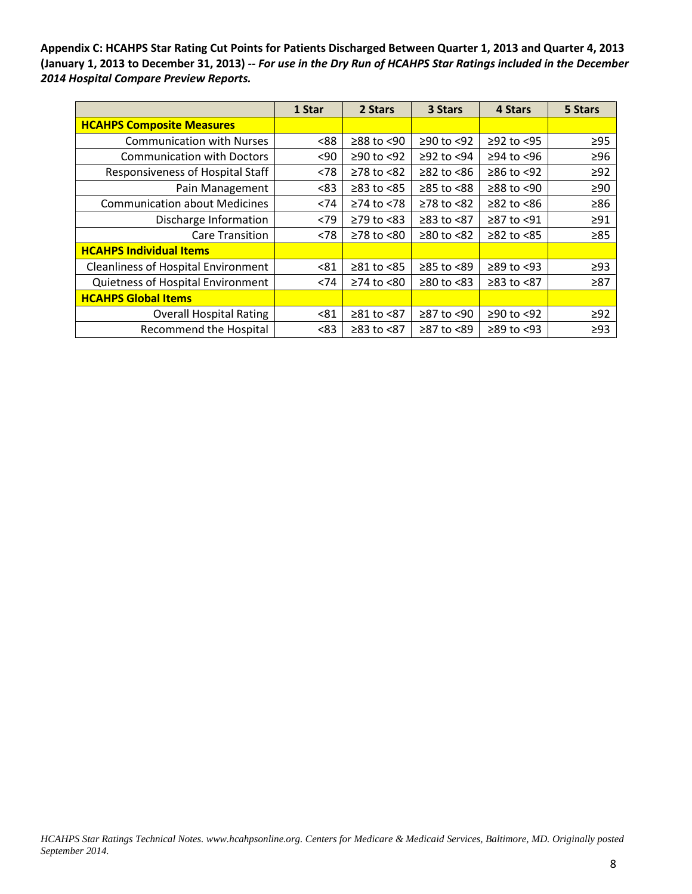**Appendix C: HCAHPS Star Rating Cut Points for Patients Discharged Between Quarter 1, 2013 and Quarter 4, 2013 (January 1, 2013 to December 31, 2013)** *-- For use in the Dry Run of HCAHPS Star Ratings included in the December 2014 Hospital Compare Preview Reports.*

|                                            | 1 Star | 2 Stars          | 3 Stars        | 4 Stars          | 5 Stars   |
|--------------------------------------------|--------|------------------|----------------|------------------|-----------|
| <b>HCAHPS Composite Measures</b>           |        |                  |                |                  |           |
| <b>Communication with Nurses</b>           | <88    | $≥88$ to <90     | ≥90 to <92     | $≥92$ to <95     | $\geq$ 95 |
| <b>Communication with Doctors</b>          | $90$   | $≥90$ to <92     | $≥92$ to <94   | $≥94$ to <96     | $\geq 96$ |
| Responsiveness of Hospital Staff           | < 78   | $\geq$ 78 to <82 | $≥82$ to $<86$ | $≥86$ to <92     | $\geq 92$ |
| Pain Management                            | <83    | $\geq$ 83 to <85 | ≥85 to <88     | $≥88$ to <90     | $\geq 90$ |
| <b>Communication about Medicines</b>       | < 74   | $≥74$ to <78     | ≥78 to <82     | $\geq$ 82 to <86 | $\geq 86$ |
| Discharge Information                      | < 79   | $\geq$ 79 to <83 | ≥83 to <87     | ≥87 to <91       | $\geq$ 91 |
| <b>Care Transition</b>                     | < 78   | $\geq$ 78 to <80 | $≥80$ to <82   | $\geq$ 82 to <85 | $\geq 85$ |
| <b>HCAHPS Individual Items</b>             |        |                  |                |                  |           |
| <b>Cleanliness of Hospital Environment</b> | < 81   | $\geq 81$ to <85 | ≥85 to <89     | $\geq$ 89 to <93 | $\geq$ 93 |
| Quietness of Hospital Environment          | < 74   | $\geq$ 74 to <80 | $≥80$ to $<83$ | $≥83$ to $<87$   | $\geq 87$ |
| <b>HCAHPS Global Items</b>                 |        |                  |                |                  |           |
| <b>Overall Hospital Rating</b>             | < 81   | $≥81$ to $<87$   | ≥87 to <90     | $≥90$ to <92     | $\geq$ 92 |
| <b>Recommend the Hospital</b>              | <83    | ≥83 to <87       | ≥87 to <89     | $\geq$ 89 to <93 | $\geq$ 93 |